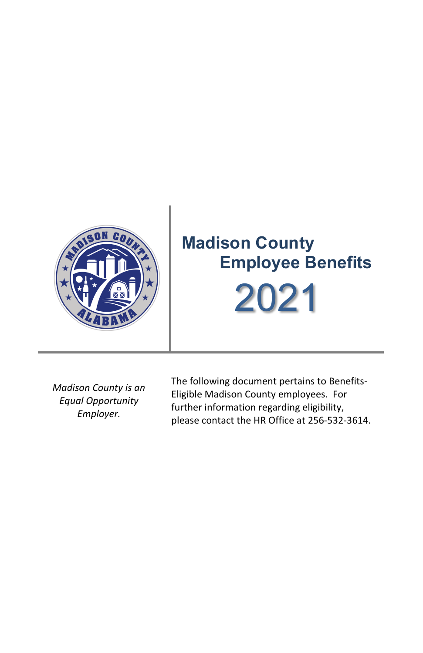

*Madison County is an Equal Opportunity Employer.*

The following document pertains to Benefits-Eligible Madison County employees. For further information regarding eligibility, please contact the HR Office at 256-532-3614.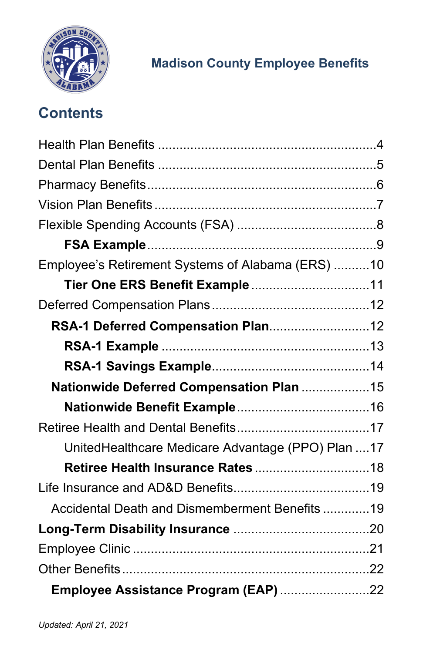

# **Contents**

| Employee's Retirement Systems of Alabama (ERS) 10  |  |
|----------------------------------------------------|--|
|                                                    |  |
|                                                    |  |
|                                                    |  |
|                                                    |  |
|                                                    |  |
| Nationwide Deferred Compensation Plan 15           |  |
|                                                    |  |
|                                                    |  |
| UnitedHealthcare Medicare Advantage (PPO) Plan  17 |  |
|                                                    |  |
|                                                    |  |
| Accidental Death and Dismemberment Benefits 19     |  |
|                                                    |  |
|                                                    |  |
|                                                    |  |
| Employee Assistance Program (EAP) 22               |  |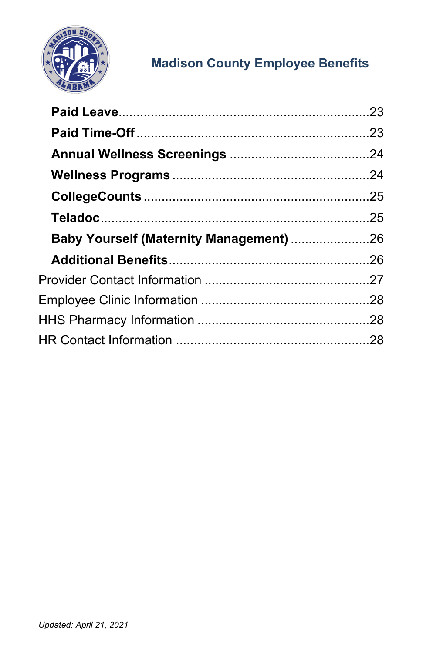

| <b>Baby Yourself (Maternity Management)</b> 26 |  |
|------------------------------------------------|--|
|                                                |  |
|                                                |  |
|                                                |  |
|                                                |  |
|                                                |  |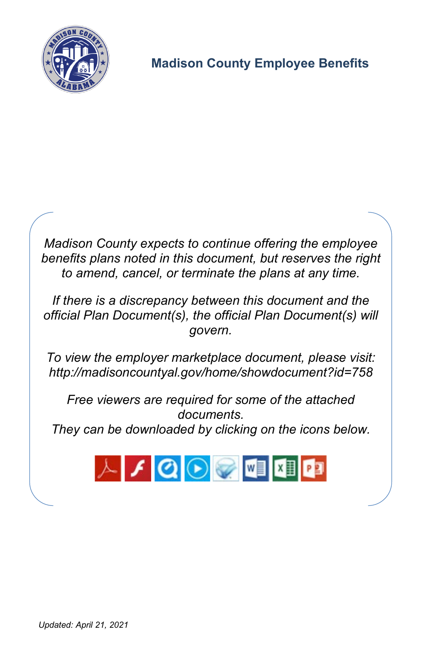

*Madison County expects to continue offering the employee benefits plans noted in this document, but reserves the right to amend, cancel, or terminate the plans at any time.*

*If there is a discrepancy between this document and the official Plan Document(s), the official Plan Document(s) will govern.*

*To view the employer marketplace document, please visit: <http://madisoncountyal.gov/home/showdocument?id=758>*

*Free viewers are required for some of the attached documents. They can be downloaded by clicking on the icons below.*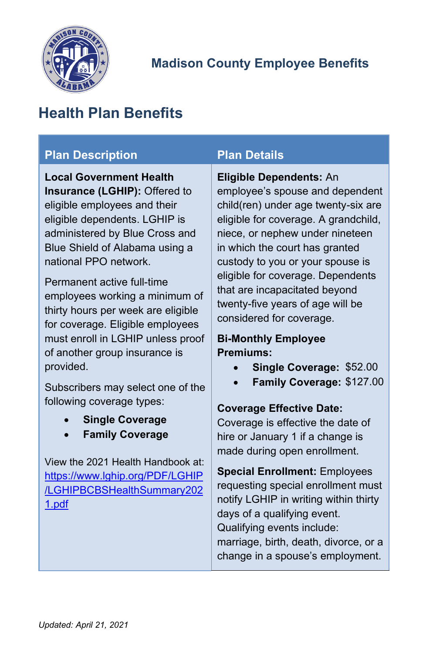

# <span id="page-4-0"></span>**Health Plan Benefits**

#### **Plan Description Plan Details**

**Local Government Health Insurance (LGHIP):** Offered to eligible employees and their eligible dependents. LGHIP is administered by Blue Cross and Blue Shield of Alabama using a national PPO network.

Permanent active full-time employees working a minimum of thirty hours per week are eligible for coverage. Eligible employees must enroll in LGHIP unless proof of another group insurance is provided.

Subscribers may select one of the following coverage types:

- **Single Coverage**
- **Family Coverage**

View the 2021 Health Handbook at: [https://www.lghip.org/PDF/LGHIP](https://www.lghip.org/PDF/LGHIP/LGHIPBCBSHealthSummary2021.pdf) [/LGHIPBCBSHealthSummary202](https://www.lghip.org/PDF/LGHIP/LGHIPBCBSHealthSummary2021.pdf) [1.pdf](https://www.lghip.org/PDF/LGHIP/LGHIPBCBSHealthSummary2021.pdf)

#### **Eligible Dependents:** An

employee's spouse and dependent child(ren) under age twenty-six are eligible for coverage. A grandchild, niece, or nephew under nineteen in which the court has granted custody to you or your spouse is eligible for coverage. Dependents that are incapacitated beyond twenty-five years of age will be considered for coverage.

#### **Bi-Monthly Employee Premiums:**

- **Single Coverage:** \$52.00
- **Family Coverage:** \$127.00

#### **Coverage Effective Date:**

Coverage is effective the date of hire or January 1 if a change is made during open enrollment.

**Special Enrollment:** Employees requesting special enrollment must notify LGHIP in writing within thirty days of a qualifying event. Qualifying events include: marriage, birth, death, divorce, or a change in a spouse's employment.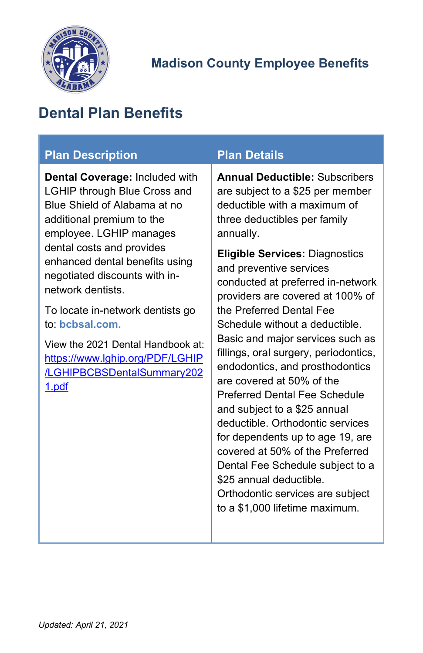

# <span id="page-5-0"></span>**Dental Plan Benefits**

| <b>Plan Description</b>                                                                                                                                       | <b>Plan Details</b>                                                                                                                                                               |
|---------------------------------------------------------------------------------------------------------------------------------------------------------------|-----------------------------------------------------------------------------------------------------------------------------------------------------------------------------------|
| Dental Coverage: Included with<br><b>LGHIP through Blue Cross and</b><br>Blue Shield of Alabama at no<br>additional premium to the<br>employee. LGHIP manages | <b>Annual Deductible: Subscribers</b><br>are subject to a \$25 per member<br>deductible with a maximum of<br>three deductibles per family<br>annually.                            |
| dental costs and provides<br>enhanced dental benefits using<br>negotiated discounts with in-<br>network dentists.                                             | <b>Eligible Services: Diagnostics</b><br>and preventive services<br>conducted at preferred in-network<br>providers are covered at 100% of                                         |
| To locate in-network dentists go<br>to: bcbsal.com.                                                                                                           | the Preferred Dental Fee<br>Schedule without a deductible.                                                                                                                        |
| View the 2021 Dental Handbook at:<br>https://www.lghip.org/PDF/LGHIP<br>/LGHIPBCBSDentalSummary202<br>1.pdf                                                   | Basic and major services such as<br>fillings, oral surgery, periodontics,<br>endodontics, and prosthodontics<br>are covered at 50% of the<br><b>Preferred Dental Fee Schedule</b> |
|                                                                                                                                                               | and subject to a \$25 annual<br>deductible. Orthodontic services<br>for dependents up to age 19, are<br>covered at 50% of the Preferred                                           |
|                                                                                                                                                               | Dental Fee Schedule subject to a<br>\$25 annual deductible.<br>Orthodontic services are subject                                                                                   |
|                                                                                                                                                               | to a \$1,000 lifetime maximum.                                                                                                                                                    |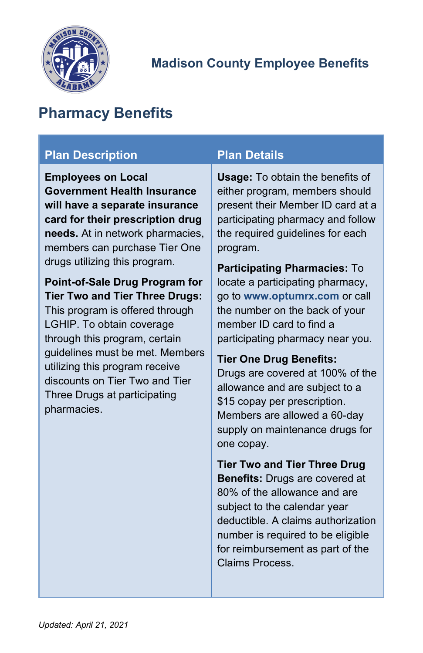

# <span id="page-6-0"></span>**Pharmacy Benefits**

### **Plan Description Plan Details**

**Employees on Local Government Health Insurance will have a separate insurance card for their prescription drug needs.** At in network pharmacies, members can purchase Tier One drugs utilizing this program.

#### **Point-of-Sale Drug Program for Tier Two and Tier Three Drugs:**

This program is offered through LGHIP. To obtain coverage through this program, certain guidelines must be met. Members utilizing this program receive discounts on Tier Two and Tier Three Drugs at participating pharmacies.

**Usage:** To obtain the benefits of either program, members should present their Member ID card at a participating pharmacy and follow the required guidelines for each program.

**Participating Pharmacies:** To locate a participating pharmacy, go to **www.optumrx.com** or call the number on the back of your member ID card to find a participating pharmacy near you.

### **Tier One Drug Benefits:**

Drugs are covered at 100% of the allowance and are subject to a \$15 copay per prescription. Members are allowed a 60-day supply on maintenance drugs for one copay.

**Tier Two and Tier Three Drug Benefits:** Drugs are covered at 80% of the allowance and are subject to the calendar year deductible. A claims authorization number is required to be eligible for reimbursement as part of the Claims Process.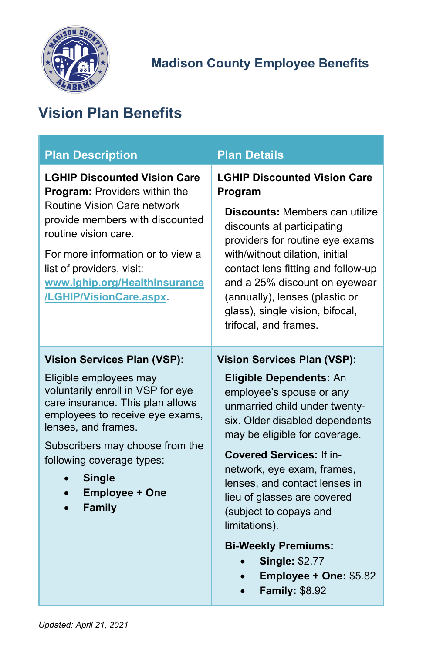

# <span id="page-7-0"></span>**Vision Plan Benefits**

| <b>Plan Description</b>                                                                                                                                                                                                                                                                                                    | <b>Plan Details</b>                                                                                                                                                                                                                                                                                                                                             |  |
|----------------------------------------------------------------------------------------------------------------------------------------------------------------------------------------------------------------------------------------------------------------------------------------------------------------------------|-----------------------------------------------------------------------------------------------------------------------------------------------------------------------------------------------------------------------------------------------------------------------------------------------------------------------------------------------------------------|--|
| <b>LGHIP Discounted Vision Care</b><br><b>Program:</b> Providers within the<br><b>Routine Vision Care network</b><br>provide members with discounted<br>routine vision care.<br>For more information or to view a<br>list of providers, visit:<br>www.lghip.org/HealthInsurance<br>/LGHIP/VisionCare.aspx.                 | <b>LGHIP Discounted Vision Care</b><br>Program<br><b>Discounts: Members can utilize</b><br>discounts at participating<br>providers for routine eye exams<br>with/without dilation, initial<br>contact lens fitting and follow-up<br>and a 25% discount on eyewear<br>(annually), lenses (plastic or<br>glass), single vision, bifocal,<br>trifocal, and frames. |  |
| <b>Vision Services Plan (VSP):</b><br>Eligible employees may<br>voluntarily enroll in VSP for eye<br>care insurance. This plan allows<br>employees to receive eye exams,<br>lenses, and frames.<br>Subscribers may choose from the<br>following coverage types:<br><b>Single</b><br><b>Employee + One</b><br><b>Family</b> | <b>Vision Services Plan (VSP):</b><br><b>Eligible Dependents: An</b><br>employee's spouse or any<br>unmarried child under twenty-<br>six. Older disabled dependents<br>may be eligible for coverage.<br><b>Covered Services: If in-</b><br>network, eye exam, frames,<br>lenses, and contact lenses in<br>lieu of glasses are covered<br>(subject to copays and |  |
|                                                                                                                                                                                                                                                                                                                            | limitations).<br><b>Bi-Weekly Premiums:</b><br><b>Single: \$2.77</b><br>Employee + One: \$5.82<br><b>Family: \$8.92</b>                                                                                                                                                                                                                                         |  |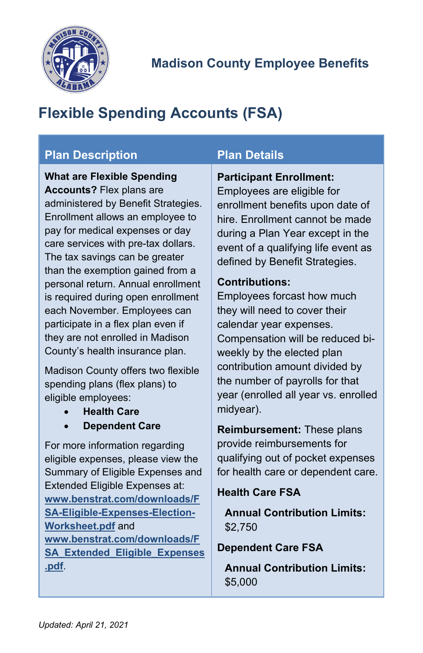

# <span id="page-8-0"></span>**Flexible Spending Accounts (FSA)**

### **Plan Description Plan Details**

**What are Flexible Spending Accounts?** Flex plans are administered by Benefit Strategies. Enrollment allows an employee to pay for medical expenses or day care services with pre-tax dollars. The tax savings can be greater than the exemption gained from a personal return. Annual enrollment is required during open enrollment each November. Employees can participate in a flex plan even if they are not enrolled in Madison County's health insurance plan.

Madison County offers two flexible spending plans (flex plans) to eligible employees:

- **Health Care**
- **Dependent Care**

For more information regarding eligible expenses, please view the Summary of Eligible Expenses and Extended Eligible Expenses at: **[www.benstrat.com/downloads/F](https://www.benstrat.com/downloads/FSA-Eligible-Expenses-Election-Worksheet.pdf) [SA-Eligible-Expenses-Election-](https://www.benstrat.com/downloads/FSA-Eligible-Expenses-Election-Worksheet.pdf)[Worksheet.pdf](https://www.benstrat.com/downloads/FSA-Eligible-Expenses-Election-Worksheet.pdf)** and **[www.benstrat.com/downloads/F](https://www.benstrat.com/downloads/FSA_Extended_Eligible_Expenses.pdf) [SA\\_Extended\\_Eligible\\_Expenses](https://www.benstrat.com/downloads/FSA_Extended_Eligible_Expenses.pdf) [.pdf](https://www.benstrat.com/downloads/FSA_Extended_Eligible_Expenses.pdf)**.

#### **Participant Enrollment:**

Employees are eligible for enrollment benefits upon date of hire. Enrollment cannot be made during a Plan Year except in the event of a qualifying life event as defined by Benefit Strategies.

#### **Contributions:**

Employees forcast how much they will need to cover their calendar year expenses. Compensation will be reduced biweekly by the elected plan contribution amount divided by the number of payrolls for that year (enrolled all year vs. enrolled midyear).

**Reimbursement:** These plans provide reimbursements for qualifying out of pocket expenses for health care or dependent care.

#### **Health Care FSA**

**Annual Contribution Limits:** \$2,750

#### **Dependent Care FSA**

**Annual Contribution Limits:** \$5,000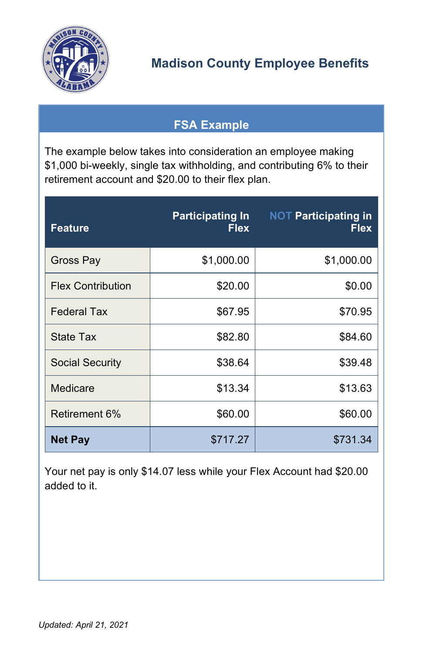

## **FSA Example**

<span id="page-9-0"></span>The example below takes into consideration an employee making \$1,000 bi-weekly, single tax withholding, and contributing 6% to their retirement account and \$20.00 to their flex plan.

| <b>Feature</b>           | <b>Participating In</b><br><b>Flex</b> | <b>NOT Participating in</b><br><b>Flex</b> |
|--------------------------|----------------------------------------|--------------------------------------------|
| Gross Pay                | \$1,000.00                             | \$1,000.00                                 |
| <b>Flex Contribution</b> | \$20.00                                | \$0.00                                     |
| <b>Federal Tax</b>       | \$67.95                                | \$70.95                                    |
| State Tax                | \$82.80                                | \$84.60                                    |
| <b>Social Security</b>   | \$38.64                                | \$39.48                                    |
| Medicare                 | \$13.34                                | \$13.63                                    |
| Retirement 6%            | \$60.00                                | \$60.00                                    |
| <b>Net Pay</b>           | \$717.27                               | \$731.34                                   |

Your net pay is only \$14.07 less while your Flex Account had \$20.00 added to it.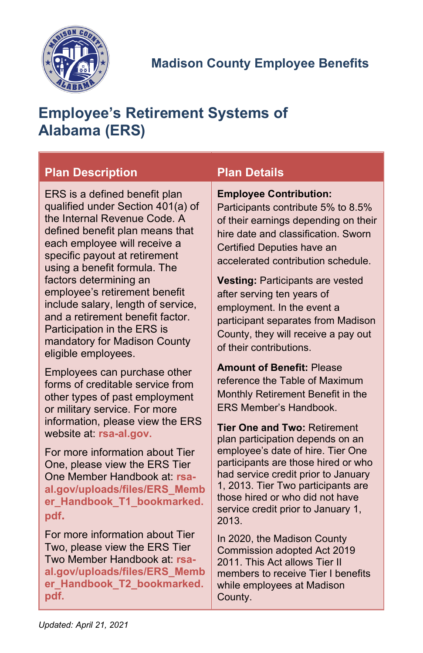

# <span id="page-10-0"></span>**Employee's Retirement Systems of Alabama (ERS)**

| <b>Plan Description</b>                                                                                                                                                                                                                                                                                                                                                                                                                    | <b>Plan Details</b>                                                                                                                                                                                                                                                                                                                                                                                                                   |
|--------------------------------------------------------------------------------------------------------------------------------------------------------------------------------------------------------------------------------------------------------------------------------------------------------------------------------------------------------------------------------------------------------------------------------------------|---------------------------------------------------------------------------------------------------------------------------------------------------------------------------------------------------------------------------------------------------------------------------------------------------------------------------------------------------------------------------------------------------------------------------------------|
| ERS is a defined benefit plan<br>qualified under Section 401(a) of<br>the Internal Revenue Code, A<br>defined benefit plan means that<br>each employee will receive a<br>specific payout at retirement<br>using a benefit formula. The<br>factors determining an<br>employee's retirement benefit<br>include salary, length of service,<br>and a retirement benefit factor.<br>Participation in the ERS is<br>mandatory for Madison County | <b>Employee Contribution:</b><br>Participants contribute 5% to 8.5%<br>of their earnings depending on their<br>hire date and classification. Sworn<br>Certified Deputies have an<br>accelerated contribution schedule.<br><b>Vesting: Participants are vested</b><br>after serving ten years of<br>employment. In the event a<br>participant separates from Madison<br>County, they will receive a pay out<br>of their contributions. |
| eligible employees.                                                                                                                                                                                                                                                                                                                                                                                                                        | <b>Amount of Benefit: Please</b>                                                                                                                                                                                                                                                                                                                                                                                                      |
| Employees can purchase other                                                                                                                                                                                                                                                                                                                                                                                                               | reference the Table of Maximum                                                                                                                                                                                                                                                                                                                                                                                                        |
| forms of creditable service from                                                                                                                                                                                                                                                                                                                                                                                                           | Monthly Retirement Benefit in the                                                                                                                                                                                                                                                                                                                                                                                                     |
| other types of past employment                                                                                                                                                                                                                                                                                                                                                                                                             | <b>FRS Member's Handbook.</b>                                                                                                                                                                                                                                                                                                                                                                                                         |
| or military service. For more                                                                                                                                                                                                                                                                                                                                                                                                              | <b>Tier One and Two: Retirement</b>                                                                                                                                                                                                                                                                                                                                                                                                   |
| information, please view the ERS                                                                                                                                                                                                                                                                                                                                                                                                           | plan participation depends on an                                                                                                                                                                                                                                                                                                                                                                                                      |
| website at: rsa-al.gov.                                                                                                                                                                                                                                                                                                                                                                                                                    | employee's date of hire. Tier One                                                                                                                                                                                                                                                                                                                                                                                                     |
| For more information about Tier                                                                                                                                                                                                                                                                                                                                                                                                            | participants are those hired or who                                                                                                                                                                                                                                                                                                                                                                                                   |
| One, please view the ERS Tier                                                                                                                                                                                                                                                                                                                                                                                                              | had service credit prior to January                                                                                                                                                                                                                                                                                                                                                                                                   |
| One Member Handbook at: rsa-                                                                                                                                                                                                                                                                                                                                                                                                               | 1, 2013. Tier Two participants are                                                                                                                                                                                                                                                                                                                                                                                                    |
| al.gov/uploads/files/ERS_Memb                                                                                                                                                                                                                                                                                                                                                                                                              | those hired or who did not have                                                                                                                                                                                                                                                                                                                                                                                                       |
| er_Handbook_T1_bookmarked.                                                                                                                                                                                                                                                                                                                                                                                                                 | service credit prior to January 1,                                                                                                                                                                                                                                                                                                                                                                                                    |
| pdf.                                                                                                                                                                                                                                                                                                                                                                                                                                       | 2013.                                                                                                                                                                                                                                                                                                                                                                                                                                 |
| For more information about Tier                                                                                                                                                                                                                                                                                                                                                                                                            | In 2020, the Madison County                                                                                                                                                                                                                                                                                                                                                                                                           |
| Two, please view the ERS Tier                                                                                                                                                                                                                                                                                                                                                                                                              | Commission adopted Act 2019                                                                                                                                                                                                                                                                                                                                                                                                           |
| Two Member Handbook at: rsa-                                                                                                                                                                                                                                                                                                                                                                                                               | 2011. This Act allows Tier II                                                                                                                                                                                                                                                                                                                                                                                                         |

**[al.gov/uploads/files/ERS\\_Memb](https://www.rsa-al.gov/uploads/files/ERS_Member_Handbook_T2_bookmarked.pdf) [er\\_Handbook\\_T2\\_bookmarked.](https://www.rsa-al.gov/uploads/files/ERS_Member_Handbook_T2_bookmarked.pdf) [pdf.](https://www.rsa-al.gov/uploads/files/ERS_Member_Handbook_T2_bookmarked.pdf)**

members to receive Tier I benefits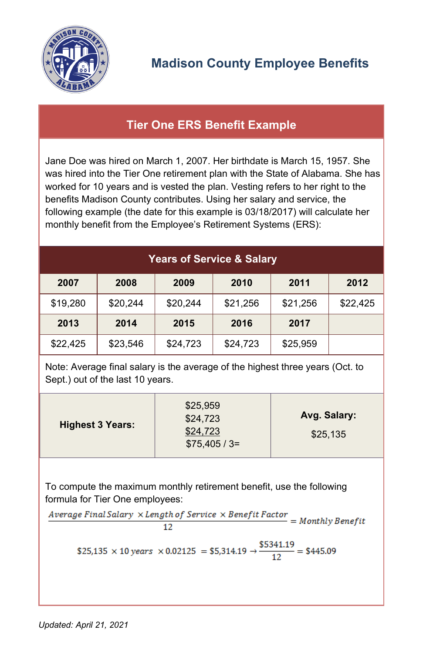

## <span id="page-11-0"></span>**Tier One ERS Benefit Example**

Jane Doe was hired on March 1, 2007. Her birthdate is March 15, 1957. She was hired into the Tier One retirement plan with the State of Alabama. She has worked for 10 years and is vested the plan. Vesting refers to her right to the benefits Madison County contributes. Using her salary and service, the following example (the date for this example is 03/18/2017) will calculate her monthly benefit from the Employee's Retirement Systems (ERS):

| <b>Years of Service &amp; Salary</b> |          |          |          |          |          |
|--------------------------------------|----------|----------|----------|----------|----------|
| 2007                                 | 2008     | 2009     | 2010     | 2011     | 2012     |
| \$19,280                             | \$20,244 | \$20,244 | \$21,256 | \$21,256 | \$22,425 |
| 2013                                 | 2014     | 2015     | 2016     | 2017     |          |
| \$22,425                             | \$23,546 | \$24,723 | \$24,723 | \$25,959 |          |

Note: Average final salary is the average of the highest three years (Oct. to Sept.) out of the last 10 years.

| <b>Highest 3 Years:</b> | \$25,959<br>\$24,723<br>\$24,723<br>$$75,405/3=$ | Avg. Salary:<br>\$25,135 |
|-------------------------|--------------------------------------------------|--------------------------|
|-------------------------|--------------------------------------------------|--------------------------|

To compute the maximum monthly retirement benefit, use the following formula for Tier One employees:<br>Average Final Salary ×Length of Service × Benefit Factor = Monthly Benefit

12

\$25,135 × 10 years × 0.02125 = \$5,314.19 → 
$$
\frac{$5341.19}{12} = $445.09
$$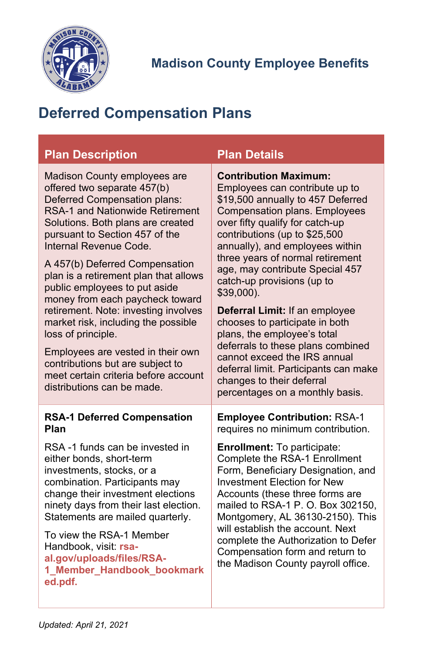

# <span id="page-12-0"></span>**Deferred Compensation Plans**

<span id="page-12-1"></span>

| <b>Plan Description</b>                                                                                                                                                                                                                                                                                                                                                                                                                                                                                                                                                                                                                   | <b>Plan Details</b>                                                                                                                                                                                                                                                                                                                                                                                                                                                                                                                                                                                                                                      |
|-------------------------------------------------------------------------------------------------------------------------------------------------------------------------------------------------------------------------------------------------------------------------------------------------------------------------------------------------------------------------------------------------------------------------------------------------------------------------------------------------------------------------------------------------------------------------------------------------------------------------------------------|----------------------------------------------------------------------------------------------------------------------------------------------------------------------------------------------------------------------------------------------------------------------------------------------------------------------------------------------------------------------------------------------------------------------------------------------------------------------------------------------------------------------------------------------------------------------------------------------------------------------------------------------------------|
| Madison County employees are<br>offered two separate 457(b)<br>Deferred Compensation plans:<br><b>RSA-1 and Nationwide Retirement</b><br>Solutions. Both plans are created<br>pursuant to Section 457 of the<br>Internal Revenue Code.<br>A 457(b) Deferred Compensation<br>plan is a retirement plan that allows<br>public employees to put aside<br>money from each paycheck toward<br>retirement. Note: investing involves<br>market risk, including the possible<br>loss of principle.<br>Employees are vested in their own<br>contributions but are subject to<br>meet certain criteria before account<br>distributions can be made. | <b>Contribution Maximum:</b><br>Employees can contribute up to<br>\$19,500 annually to 457 Deferred<br><b>Compensation plans. Employees</b><br>over fifty qualify for catch-up<br>contributions (up to \$25,500<br>annually), and employees within<br>three years of normal retirement<br>age, may contribute Special 457<br>catch-up provisions (up to<br>$$39,000$ ).<br>Deferral Limit: If an employee<br>chooses to participate in both<br>plans, the employee's total<br>deferrals to these plans combined<br>cannot exceed the IRS annual<br>deferral limit. Participants can make<br>changes to their deferral<br>percentages on a monthly basis. |
| <b>RSA-1 Deferred Compensation</b><br>Plan                                                                                                                                                                                                                                                                                                                                                                                                                                                                                                                                                                                                | <b>Employee Contribution: RSA-1</b><br>requires no minimum contribution.                                                                                                                                                                                                                                                                                                                                                                                                                                                                                                                                                                                 |
| RSA-1 funds can be invested in<br>either bonds, short-term<br>investments, stocks, or a<br>combination. Participants may<br>change their investment elections<br>ninety days from their last election.<br>Statements are mailed quarterly.<br>To view the RSA-1 Member<br>Handbook, visit: rsa-<br>al.gov/uploads/files/RSA-<br>1_Member_Handbook_bookmark<br>ed.pdf.                                                                                                                                                                                                                                                                     | <b>Enrollment:</b> To participate:<br>Complete the RSA-1 Enrollment<br>Form, Beneficiary Designation, and<br><b>Investment Election for New</b><br>Accounts (these three forms are<br>mailed to RSA-1 P. O. Box 302150,<br>Montgomery, AL 36130-2150). This<br>will establish the account. Next<br>complete the Authorization to Defer<br>Compensation form and return to<br>the Madison County payroll office.                                                                                                                                                                                                                                          |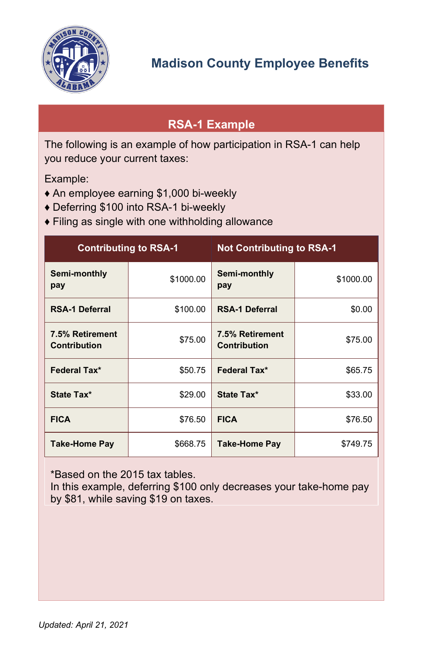

## <span id="page-13-0"></span>**RSA-1 Example**

The following is an example of how participation in RSA-1 can help you reduce your current taxes:

Example:

- ♦ An employee earning \$1,000 bi-weekly
- ♦ Deferring \$100 into RSA-1 bi-weekly
- ♦ Filing as single with one withholding allowance

| <b>Contributing to RSA-1</b>           |           | <b>Not Contributing to RSA-1</b>       |           |
|----------------------------------------|-----------|----------------------------------------|-----------|
| Semi-monthly<br>pay                    | \$1000.00 | Semi-monthly<br>pay                    | \$1000.00 |
| <b>RSA-1 Deferral</b>                  | \$100.00  | <b>RSA-1 Deferral</b>                  | \$0.00    |
| 7.5% Retirement<br><b>Contribution</b> | \$75.00   | 7.5% Retirement<br><b>Contribution</b> | \$75.00   |
| <b>Federal Tax*</b>                    | \$50.75   | <b>Federal Tax*</b>                    | \$65.75   |
| State Tax*                             | \$29.00   | State Tax*                             | \$33.00   |
| <b>FICA</b>                            | \$76.50   | <b>FICA</b>                            | \$76.50   |
| Take-Home Pay                          | \$668.75  | <b>Take-Home Pay</b>                   | \$749.75  |

\*Based on the 2015 tax tables.

In this example, deferring \$100 only decreases your take-home pay by \$81, while saving \$19 on taxes.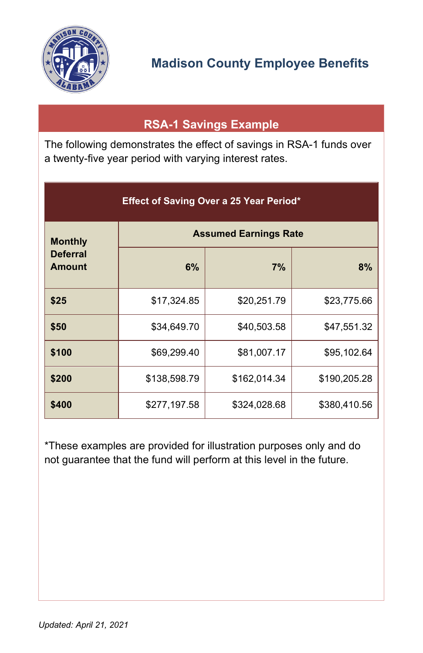

## **RSA-1 Savings Example**

<span id="page-14-0"></span>The following demonstrates the effect of savings in RSA-1 funds over a twenty-five year period with varying interest rates.

| <b>Effect of Saving Over a 25 Year Period*</b> |                              |              |              |  |
|------------------------------------------------|------------------------------|--------------|--------------|--|
| <b>Monthly</b>                                 | <b>Assumed Earnings Rate</b> |              |              |  |
| <b>Deferral</b><br><b>Amount</b>               | 6%                           | 7%           | 8%           |  |
| \$25                                           | \$17,324.85                  | \$20,251.79  | \$23,775.66  |  |
| \$50                                           | \$34,649.70                  | \$40,503.58  | \$47,551.32  |  |
| \$100                                          | \$69,299.40                  | \$81,007.17  | \$95,102.64  |  |
| \$200                                          | \$138,598.79                 | \$162,014.34 | \$190,205.28 |  |
| \$400                                          | \$277,197.58                 | \$324,028.68 | \$380,410.56 |  |

\*These examples are provided for illustration purposes only and do not guarantee that the fund will perform at this level in the future.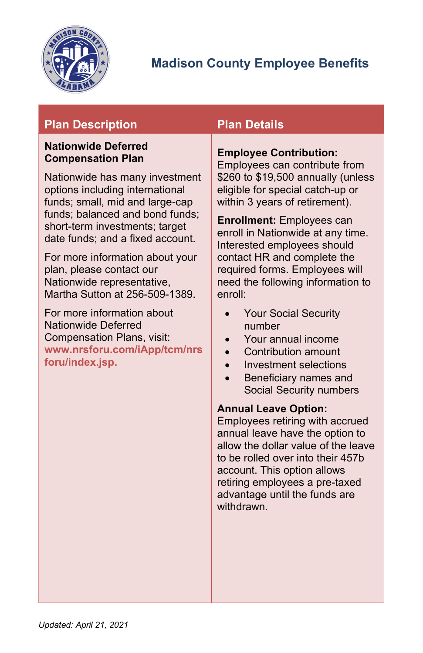

## **Plan Description Plan Details**

#### <span id="page-15-0"></span>**Nationwide Deferred Compensation Plan**

Nationwide has many investment options including international funds; small, mid and large-cap funds; balanced and bond funds; short-term investments; target date funds; and a fixed account.

For more information about your plan, please contact our Nationwide representative, Martha Sutton at 256-509-1389.

For more information about Nationwide Deferred Compensation Plans, visit: **[www.nrsforu.com/iApp/tcm/nrs](https://www.nrsforu.com/iApp/tcm/nrsforu/index.jsp) [foru/index.jsp.](https://www.nrsforu.com/iApp/tcm/nrsforu/index.jsp)**

#### **Employee Contribution:**

Employees can contribute from \$260 to \$19,500 annually (unless eligible for special catch-up or within 3 years of retirement).

**Enrollment:** Employees can enroll in Nationwide at any time. Interested employees should contact HR and complete the required forms. Employees will need the following information to enroll:

- Your Social Security number
- Your annual income
- Contribution amount
- Investment selections
- Beneficiary names and Social Security numbers

#### **Annual Leave Option:**

Employees retiring with accrued annual leave have the option to allow the dollar value of the leave to be rolled over into their 457b account. This option allows retiring employees a pre-taxed advantage until the funds are withdrawn.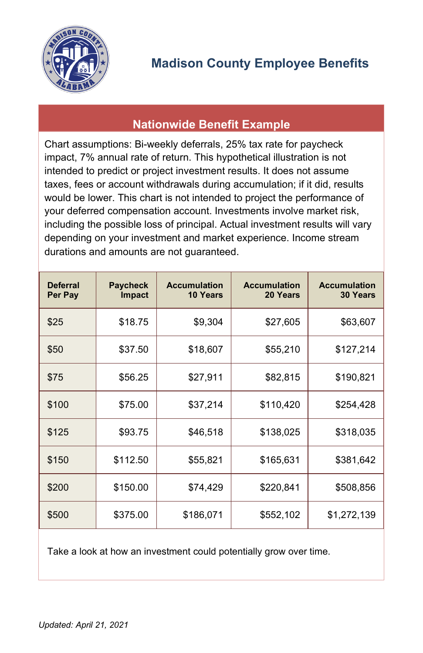

### **Nationwide Benefit Example**

<span id="page-16-0"></span>Chart assumptions: Bi-weekly deferrals, 25% tax rate for paycheck impact, 7% annual rate of return. This hypothetical illustration is not intended to predict or project investment results. It does not assume taxes, fees or account withdrawals during accumulation; if it did, results would be lower. This chart is not intended to project the performance of your deferred compensation account. Investments involve market risk, including the possible loss of principal. Actual investment results will vary depending on your investment and market experience. Income stream durations and amounts are not guaranteed.

| <b>Deferral</b><br>Per Pay | <b>Paycheck</b><br>Impact | <b>Accumulation</b><br><b>10 Years</b> | <b>Accumulation</b><br>20 Years | <b>Accumulation</b><br><b>30 Years</b> |
|----------------------------|---------------------------|----------------------------------------|---------------------------------|----------------------------------------|
| \$25                       | \$18.75                   | \$9,304                                | \$27,605                        | \$63,607                               |
| \$50                       | \$37.50                   | \$18,607                               | \$55,210                        | \$127,214                              |
| \$75                       | \$56.25                   | \$27,911                               | \$82,815                        | \$190,821                              |
| \$100                      | \$75.00                   | \$37,214                               | \$110,420                       | \$254,428                              |
| \$125                      | \$93.75                   | \$46,518                               | \$138,025                       | \$318,035                              |
| \$150                      | \$112.50                  | \$55,821                               | \$165,631                       | \$381,642                              |
| \$200                      | \$150.00                  | \$74,429                               | \$220,841                       | \$508,856                              |
| \$500                      | \$375.00                  | \$186,071                              | \$552,102                       | \$1,272,139                            |

Take a look at how an investment could potentially grow over time.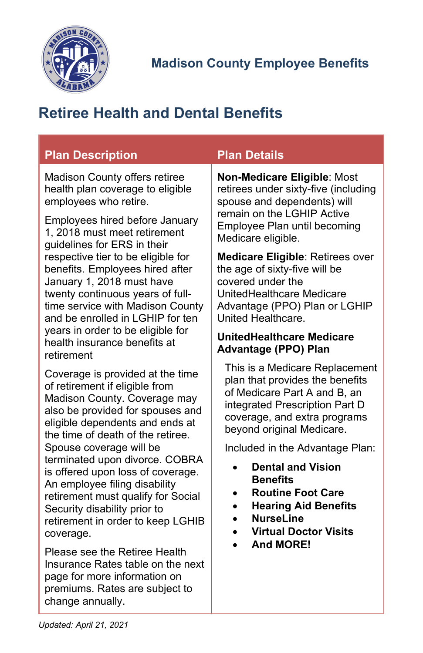

# <span id="page-17-0"></span>**Retiree Health and Dental Benefits**

| <b>Plan Description</b>                                                         | <b>Plan Details</b>                                             |  |
|---------------------------------------------------------------------------------|-----------------------------------------------------------------|--|
| Madison County offers retiree                                                   | Non-Medicare Eligible: Most                                     |  |
| health plan coverage to eligible                                                | retirees under sixty-five (including                            |  |
| employees who retire.                                                           | spouse and dependents) will                                     |  |
| Employees hired before January                                                  | remain on the LGHIP Active                                      |  |
| 1, 2018 must meet retirement                                                    | Employee Plan until becoming                                    |  |
| guidelines for ERS in their                                                     | Medicare eligible.                                              |  |
| respective tier to be eligible for                                              | Medicare Eligible: Retirees over                                |  |
| benefits. Employees hired after                                                 | the age of sixty-five will be                                   |  |
| January 1, 2018 must have                                                       | covered under the                                               |  |
| twenty continuous years of full-                                                | UnitedHealthcare Medicare                                       |  |
| time service with Madison County                                                | Advantage (PPO) Plan or LGHIP                                   |  |
| and be enrolled in LGHIP for ten                                                | United Healthcare.                                              |  |
| years in order to be eligible for<br>health insurance benefits at<br>retirement | <b>UnitedHealthcare Medicare</b><br><b>Advantage (PPO) Plan</b> |  |
| Coverage is provided at the time                                                | This is a Medicare Replacement                                  |  |
| of retirement if eligible from                                                  | plan that provides the benefits                                 |  |
| Madison County. Coverage may                                                    | of Medicare Part A and B, an                                    |  |
| also be provided for spouses and                                                | integrated Prescription Part D                                  |  |
| eligible dependents and ends at                                                 | coverage, and extra programs                                    |  |
| the time of death of the retiree.                                               | beyond original Medicare.                                       |  |
| Spouse coverage will be                                                         | Included in the Advantage Plan:                                 |  |
| terminated upon divorce. COBRA<br>is offered upon loss of coverage.             | <b>Dental and Vision</b>                                        |  |

- <span id="page-17-1"></span>• **Dental and Vision Benefits**
- **Routine Foot Care**
- **Hearing Aid Benefits**
- **NurseLine**
- **Virtual Doctor Visits**
- **And MORE!**

Please see the Retiree Health Insurance Rates table on the next page for more information on premiums. Rates are subject to change annually.

retirement in order to keep LGHIB

An employee filing disability retirement must qualify for Social

Security disability prior to

coverage.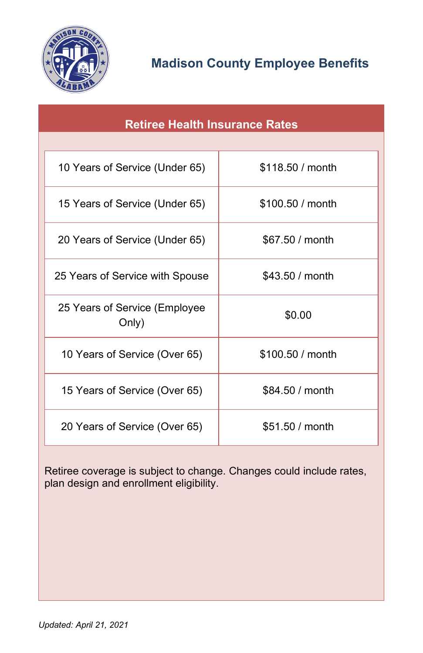

<span id="page-18-0"></span>

| <b>Retiree Health Insurance Rates</b>  |                  |  |  |
|----------------------------------------|------------------|--|--|
|                                        |                  |  |  |
| 10 Years of Service (Under 65)         | \$118.50 / month |  |  |
| 15 Years of Service (Under 65)         | \$100.50 / month |  |  |
| 20 Years of Service (Under 65)         | \$67.50 / month  |  |  |
| 25 Years of Service with Spouse        | \$43.50 / month  |  |  |
| 25 Years of Service (Employee<br>Only) | \$0.00           |  |  |
| 10 Years of Service (Over 65)          | \$100.50 / month |  |  |
| 15 Years of Service (Over 65)          | \$84.50 / month  |  |  |
| 20 Years of Service (Over 65)          | \$51.50 / month  |  |  |

Retiree coverage is subject to change. Changes could include rates, plan design and enrollment eligibility.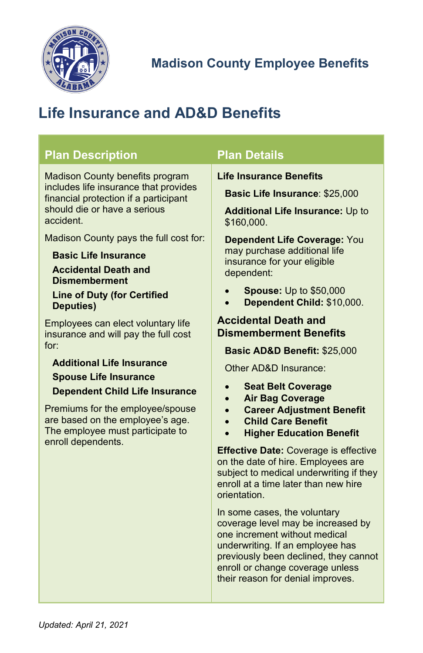

# <span id="page-19-0"></span>**Life Insurance and AD&D Benefits**

<span id="page-19-1"></span>

| <b>Plan Description</b>                                                                                                                                                                                                                                                                                                                                                                                                                                                                                                                                                                                                                                                                               | <b>Plan Details</b>                                                                                                                                                                                                                                                                                                                                                                                                                                                                                                                                                                                                                                                                                                                                                                                                                                                                                                                                                                                                                                 |
|-------------------------------------------------------------------------------------------------------------------------------------------------------------------------------------------------------------------------------------------------------------------------------------------------------------------------------------------------------------------------------------------------------------------------------------------------------------------------------------------------------------------------------------------------------------------------------------------------------------------------------------------------------------------------------------------------------|-----------------------------------------------------------------------------------------------------------------------------------------------------------------------------------------------------------------------------------------------------------------------------------------------------------------------------------------------------------------------------------------------------------------------------------------------------------------------------------------------------------------------------------------------------------------------------------------------------------------------------------------------------------------------------------------------------------------------------------------------------------------------------------------------------------------------------------------------------------------------------------------------------------------------------------------------------------------------------------------------------------------------------------------------------|
| <b>Madison County benefits program</b><br>includes life insurance that provides<br>financial protection if a participant<br>should die or have a serious<br>accident.<br>Madison County pays the full cost for:<br><b>Basic Life Insurance</b><br><b>Accidental Death and</b><br><b>Dismemberment</b><br><b>Line of Duty (for Certified</b><br><b>Deputies</b> )<br>Employees can elect voluntary life<br>insurance and will pay the full cost<br>for:<br><b>Additional Life Insurance</b><br><b>Spouse Life Insurance</b><br><b>Dependent Child Life Insurance</b><br>Premiums for the employee/spouse<br>are based on the employee's age.<br>The employee must participate to<br>enroll dependents. | <b>Life Insurance Benefits</b><br><b>Basic Life Insurance: \$25,000</b><br><b>Additional Life Insurance: Up to</b><br>\$160,000.<br><b>Dependent Life Coverage: You</b><br>may purchase additional life<br>insurance for your eligible<br>dependent:<br><b>Spouse:</b> Up to \$50,000<br>Dependent Child: \$10,000.<br><b>Accidental Death and</b><br><b>Dismemberment Benefits</b><br>Basic AD&D Benefit: \$25,000<br>Other AD&D Insurance:<br><b>Seat Belt Coverage</b><br>$\bullet$<br><b>Air Bag Coverage</b><br><b>Career Adjustment Benefit</b><br><b>Child Care Benefit</b><br><b>Higher Education Benefit</b><br>$\bullet$<br><b>Effective Date: Coverage is effective</b><br>on the date of hire. Employees are<br>subject to medical underwriting if they<br>enroll at a time later than new hire<br>orientation.<br>In some cases, the voluntary<br>coverage level may be increased by<br>one increment without medical<br>underwriting. If an employee has<br>previously been declined, they cannot<br>enroll or change coverage unless |

their reason for denial improves.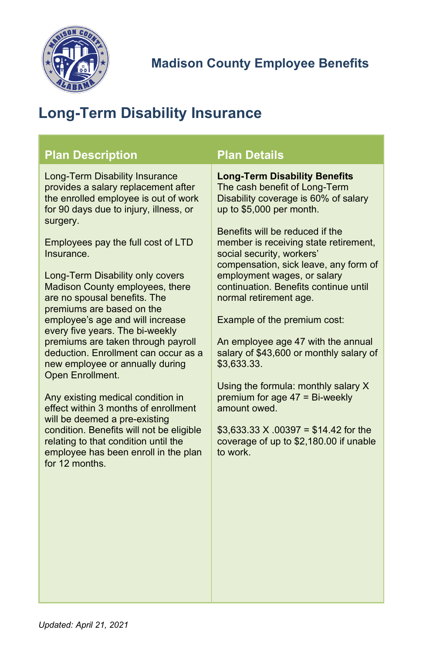

# <span id="page-20-0"></span>**Long-Term Disability Insurance**

| <b>Plan Description</b>                                                                                                                                                                                                                                                                                                                                                                                                                                                                                                                                                                                                                                                                                                                                                                                                                    | <b>Plan Details</b>                                                                                                                                                                                                                                                                                                                                                                                                                                                                                                                                                                                                                                                                                                    |
|--------------------------------------------------------------------------------------------------------------------------------------------------------------------------------------------------------------------------------------------------------------------------------------------------------------------------------------------------------------------------------------------------------------------------------------------------------------------------------------------------------------------------------------------------------------------------------------------------------------------------------------------------------------------------------------------------------------------------------------------------------------------------------------------------------------------------------------------|------------------------------------------------------------------------------------------------------------------------------------------------------------------------------------------------------------------------------------------------------------------------------------------------------------------------------------------------------------------------------------------------------------------------------------------------------------------------------------------------------------------------------------------------------------------------------------------------------------------------------------------------------------------------------------------------------------------------|
| <b>Long-Term Disability Insurance</b><br>provides a salary replacement after<br>the enrolled employee is out of work<br>for 90 days due to injury, illness, or<br>surgery.<br>Employees pay the full cost of LTD<br>Insurance.<br>Long-Term Disability only covers<br>Madison County employees, there<br>are no spousal benefits. The<br>premiums are based on the<br>employee's age and will increase<br>every five years. The bi-weekly<br>premiums are taken through payroll<br>deduction. Enrollment can occur as a<br>new employee or annually during<br>Open Enrollment.<br>Any existing medical condition in<br>effect within 3 months of enrollment<br>will be deemed a pre-existing<br>condition. Benefits will not be eligible<br>relating to that condition until the<br>employee has been enroll in the plan<br>for 12 months. | <b>Long-Term Disability Benefits</b><br>The cash benefit of Long-Term<br>Disability coverage is 60% of salary<br>up to \$5,000 per month.<br>Benefits will be reduced if the<br>member is receiving state retirement,<br>social security, workers'<br>compensation, sick leave, any form of<br>employment wages, or salary<br>continuation. Benefits continue until<br>normal retirement age.<br>Example of the premium cost:<br>An employee age 47 with the annual<br>salary of \$43,600 or monthly salary of<br>\$3,633.33.<br>Using the formula: monthly salary X<br>premium for age 47 = Bi-weekly<br>amount owed.<br>$$3,633.33$ X .00397 = \$14.42 for the<br>coverage of up to \$2,180.00 if unable<br>to work. |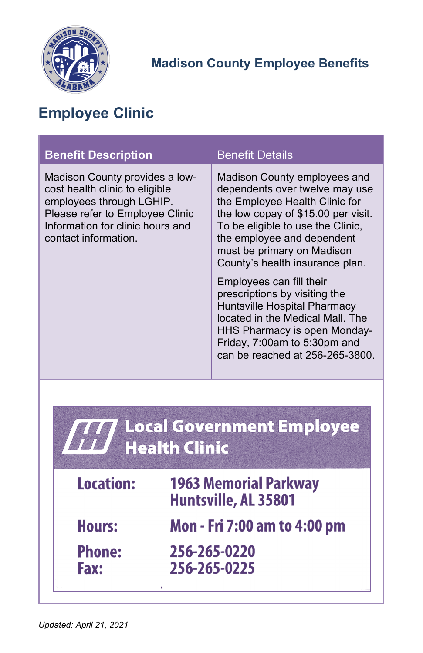

# <span id="page-21-0"></span>**Employee Clinic**

| <b>Benefit Description</b>                                                                                                                                                                  | <b>Benefit Details</b>                                                                                                                                                                                                                                                      |  |
|---------------------------------------------------------------------------------------------------------------------------------------------------------------------------------------------|-----------------------------------------------------------------------------------------------------------------------------------------------------------------------------------------------------------------------------------------------------------------------------|--|
| Madison County provides a low-<br>cost health clinic to eligible<br>employees through LGHIP.<br>Please refer to Employee Clinic<br>Information for clinic hours and<br>contact information. | Madison County employees and<br>dependents over twelve may use<br>the Employee Health Clinic for<br>the low copay of \$15.00 per visit.<br>To be eligible to use the Clinic,<br>the employee and dependent<br>must be primary on Madison<br>County's health insurance plan. |  |
|                                                                                                                                                                                             | Employees can fill their<br>prescriptions by visiting the<br>Huntsville Hospital Pharmacy<br>located in the Medical Mall. The<br>HHS Pharmacy is open Monday-<br>Friday, 7:00am to 5:30pm and<br>can be reached at 256-265-3800.                                            |  |
|                                                                                                                                                                                             |                                                                                                                                                                                                                                                                             |  |

| 777 Local Government Employee |  |  |  |  |
|-------------------------------|--|--|--|--|
| <b>III</b> Health Clinic      |  |  |  |  |
|                               |  |  |  |  |

| <b>Location:</b>             | <b>1963 Memorial Parkway</b><br>Huntsville, AL 35801 |
|------------------------------|------------------------------------------------------|
| <b>Hours:</b>                | Mon - Fri 7:00 am to 4:00 pm                         |
| <b>Phone:</b><br><b>Fax:</b> | 256-265-0220<br>256-265-0225                         |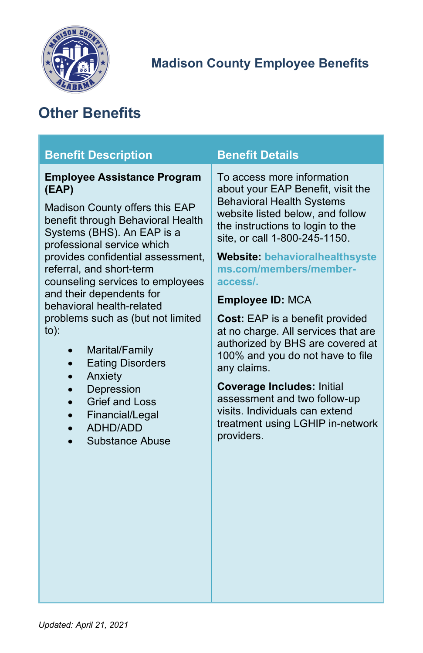

# <span id="page-22-0"></span>**Other Benefits**

<span id="page-22-1"></span>

| <b>Benefit Description</b>                                                                                                                                                                                                                                                                                                                                                                                                                                                                                                                    | <b>Benefit Details</b>                                                                                                                                                                                                                                                                                                                                                                                                                                                                                                                                                                                                                                  |
|-----------------------------------------------------------------------------------------------------------------------------------------------------------------------------------------------------------------------------------------------------------------------------------------------------------------------------------------------------------------------------------------------------------------------------------------------------------------------------------------------------------------------------------------------|---------------------------------------------------------------------------------------------------------------------------------------------------------------------------------------------------------------------------------------------------------------------------------------------------------------------------------------------------------------------------------------------------------------------------------------------------------------------------------------------------------------------------------------------------------------------------------------------------------------------------------------------------------|
| <b>Employee Assistance Program</b><br>(EAP)<br>Madison County offers this EAP<br>benefit through Behavioral Health<br>Systems (BHS). An EAP is a<br>professional service which<br>provides confidential assessment,<br>referral, and short-term<br>counseling services to employees<br>and their dependents for<br>behavioral health-related<br>problems such as (but not limited<br>$to)$ :<br>Marital/Family<br><b>Eating Disorders</b><br>Anxiety<br>Depression<br><b>Grief and Loss</b><br>Financial/Legal<br>ADHD/ADD<br>Substance Abuse | To access more information<br>about your EAP Benefit, visit the<br><b>Behavioral Health Systems</b><br>website listed below, and follow<br>the instructions to login to the<br>site, or call 1-800-245-1150.<br><b>Website: behavioralhealthsyste</b><br>ms.com/members/member-<br>access/.<br><b>Employee ID: MCA</b><br><b>Cost:</b> EAP is a benefit provided<br>at no charge. All services that are<br>authorized by BHS are covered at<br>100% and you do not have to file<br>any claims.<br><b>Coverage Includes: Initial</b><br>assessment and two follow-up<br>visits. Individuals can extend<br>treatment using LGHIP in-network<br>providers. |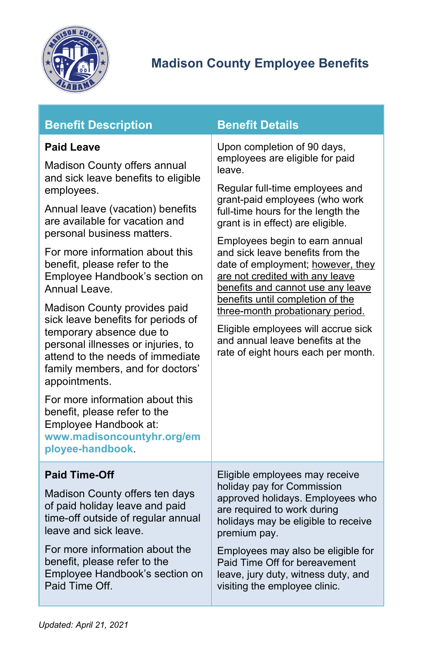

<span id="page-23-1"></span><span id="page-23-0"></span>

| <b>Paid Leave</b>                                                                                                                                                                                                                                                                                                                                                                                                                                    | Upon completion of 90 days,<br>employees are eligible for paid<br>leave.                                                                                                                                                                                                                                                                                                                                                                                                                                                  |  |  |
|------------------------------------------------------------------------------------------------------------------------------------------------------------------------------------------------------------------------------------------------------------------------------------------------------------------------------------------------------------------------------------------------------------------------------------------------------|---------------------------------------------------------------------------------------------------------------------------------------------------------------------------------------------------------------------------------------------------------------------------------------------------------------------------------------------------------------------------------------------------------------------------------------------------------------------------------------------------------------------------|--|--|
| Madison County offers annual<br>and sick leave benefits to eligible                                                                                                                                                                                                                                                                                                                                                                                  |                                                                                                                                                                                                                                                                                                                                                                                                                                                                                                                           |  |  |
| employees.<br>Annual leave (vacation) benefits<br>are available for vacation and<br>personal business matters.<br>For more information about this<br>benefit, please refer to the<br>Employee Handbook's section on<br>Annual Leave.<br>Madison County provides paid<br>sick leave benefits for periods of<br>temporary absence due to<br>personal illnesses or injuries, to<br>attend to the needs of immediate<br>family members, and for doctors' | Regular full-time employees and<br>grant-paid employees (who work<br>full-time hours for the length the<br>grant is in effect) are eligible.<br>Employees begin to earn annual<br>and sick leave benefits from the<br>date of employment; however, they<br>are not credited with any leave<br>benefits and cannot use any leave<br>benefits until completion of the<br>three-month probationary period.<br>Eligible employees will accrue sick<br>and annual leave benefits at the<br>rate of eight hours each per month. |  |  |
| appointments.<br>For more information about this<br>benefit, please refer to the<br>Employee Handbook at:<br>www.madisoncountyhr.org/em<br>ployee-handbook.                                                                                                                                                                                                                                                                                          |                                                                                                                                                                                                                                                                                                                                                                                                                                                                                                                           |  |  |
| <b>Paid Time-Off</b>                                                                                                                                                                                                                                                                                                                                                                                                                                 | Eligible employees may receive                                                                                                                                                                                                                                                                                                                                                                                                                                                                                            |  |  |
| Madison County offers ten days<br>of paid holiday leave and paid<br>time-off outside of regular annual<br>leave and sick leave.                                                                                                                                                                                                                                                                                                                      | holiday pay for Commission<br>approved holidays. Employees who<br>are required to work during<br>holidays may be eligible to receive<br>premium pay.<br>Employees may also be eligible for<br>Paid Time Off for bereavement<br>leave, jury duty, witness duty, and<br>visiting the employee clinic.                                                                                                                                                                                                                       |  |  |
| For more information about the<br>benefit, please refer to the<br>Employee Handbook's section on<br>Paid Time Off.                                                                                                                                                                                                                                                                                                                                   |                                                                                                                                                                                                                                                                                                                                                                                                                                                                                                                           |  |  |

**Benefit Description Benefit Details**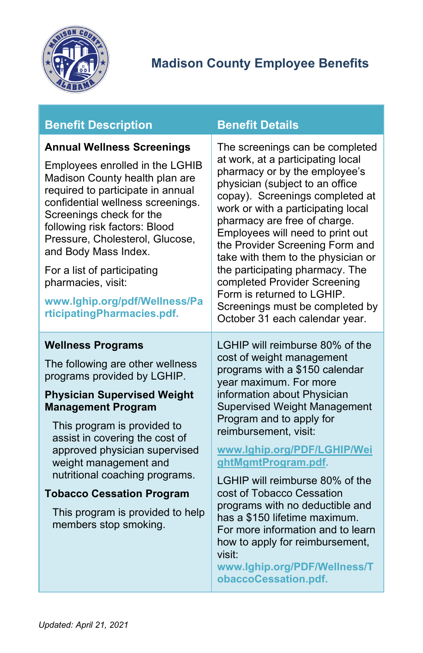

## **Benefit Description Benefit Details**

#### <span id="page-24-0"></span>**Annual Wellness Screenings**

Employees enrolled in the LGHIB Madison County health plan are required to participate in annual confidential wellness screenings. Screenings check for the following risk factors: Blood Pressure, Cholesterol, Glucose, and Body Mass Index.

For a list of participating pharmacies, visit:

**[www.lghip.org/pdf/Wellness/Pa](http://www.lghip.org/pdf/Wellness/ParticipatingPharmacies.pdf) [rticipatingPharmacies.pdf.](http://www.lghip.org/pdf/Wellness/ParticipatingPharmacies.pdf)**

#### <span id="page-24-1"></span>**Wellness Programs**

The following are other wellness programs provided by LGHIP.

#### **Physician Supervised Weight Management Program**

This program is provided to assist in covering the cost of approved physician supervised weight management and nutritional coaching programs.

#### **Tobacco Cessation Program**

This program is provided to help members stop smoking.

The screenings can be completed at work, at a participating local pharmacy or by the employee's physician (subject to an office copay). Screenings completed at work or with a participating local pharmacy are free of charge. Employees will need to print out the [Provider Screening Form](http://38.106.4.246/home/showdocument?id=2448) and take with them to the physician or the participating pharmacy. The completed Provider Screening Form is returned to LGHIP. Screenings must be completed by October 31 each calendar year.

LGHIP will reimburse 80% of the cost of weight management programs with a \$150 calendar year maximum. For more information about Physician Supervised Weight Management Program and to apply for reimbursement, visit:

#### **[www.lghip.org/PDF/LGHIP/Wei](http://www.lghip.org/PDF/LGHIP/WeightMgmtProgram.pdf) [ghtMgmtProgram.pdf.](http://www.lghip.org/PDF/LGHIP/WeightMgmtProgram.pdf)**

LGHIP will reimburse 80% of the cost of Tobacco Cessation programs with no deductible and has a \$150 lifetime maximum. For more information and to learn how to apply for reimbursement, visit:

**[www.lghip.org/PDF/Wellness/T](http://www.lghip.org/PDF/Wellness/TobaccoCessation.pdf) [obaccoCessation.pdf.](http://www.lghip.org/PDF/Wellness/TobaccoCessation.pdf)**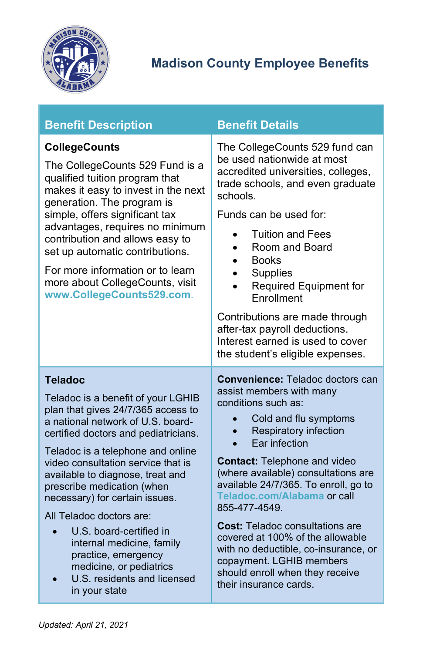

<span id="page-25-1"></span><span id="page-25-0"></span>

| <b>Benefit Description</b>                                                                                                                                                                                                                                                                                                                                                                                                                                                                                                                   | <b>Benefit Details</b>                                                                                                                                                                                                                                                                                                                                                                                                                                                                                                                                                 |  |
|----------------------------------------------------------------------------------------------------------------------------------------------------------------------------------------------------------------------------------------------------------------------------------------------------------------------------------------------------------------------------------------------------------------------------------------------------------------------------------------------------------------------------------------------|------------------------------------------------------------------------------------------------------------------------------------------------------------------------------------------------------------------------------------------------------------------------------------------------------------------------------------------------------------------------------------------------------------------------------------------------------------------------------------------------------------------------------------------------------------------------|--|
| <b>CollegeCounts</b><br>The CollegeCounts 529 Fund is a<br>qualified tuition program that<br>makes it easy to invest in the next<br>generation. The program is<br>simple, offers significant tax<br>advantages, requires no minimum<br>contribution and allows easy to<br>set up automatic contributions.<br>For more information or to learn<br>more about CollegeCounts, visit<br>www.CollegeCounts529.com.                                                                                                                                | The CollegeCounts 529 fund can<br>be used nationwide at most<br>accredited universities, colleges,<br>trade schools, and even graduate<br>schools.<br>Funds can be used for:<br><b>Tuition and Fees</b><br>$\bullet$<br>Room and Board<br>$\bullet$<br><b>Books</b><br>$\bullet$<br><b>Supplies</b><br>$\bullet$<br>Required Equipment for<br>Enrollment<br>Contributions are made through<br>after-tax payroll deductions.<br>Interest earned is used to cover                                                                                                        |  |
|                                                                                                                                                                                                                                                                                                                                                                                                                                                                                                                                              | the student's eligible expenses.                                                                                                                                                                                                                                                                                                                                                                                                                                                                                                                                       |  |
| <b>Teladoc</b><br>Teladoc is a benefit of your LGHIB<br>plan that gives 24/7/365 access to<br>a national network of U.S. board-<br>certified doctors and pediatricians.<br>Teladoc is a telephone and online<br>video consultation service that is<br>available to diagnose, treat and<br>prescribe medication (when<br>necessary) for certain issues.<br>All Teladoc doctors are:<br>U.S. board-certified in<br>internal medicine, family<br>practice, emergency<br>medicine, or pediatrics<br>U.S. residents and licensed<br>in your state | <b>Convenience: Teladoc doctors can</b><br>assist members with many<br>conditions such as:<br>Cold and flu symptoms<br><b>Respiratory infection</b><br>$\bullet$<br>Ear infection<br><b>Contact: Telephone and video</b><br>(where available) consultations are<br>available 24/7/365. To enroll, go to<br>Teladoc.com/Alabama or call<br>855-477-4549.<br><b>Cost:</b> Teladoc consultations are<br>covered at 100% of the allowable<br>with no deductible, co-insurance, or<br>copayment. LGHIB members<br>should enroll when they receive<br>their insurance cards. |  |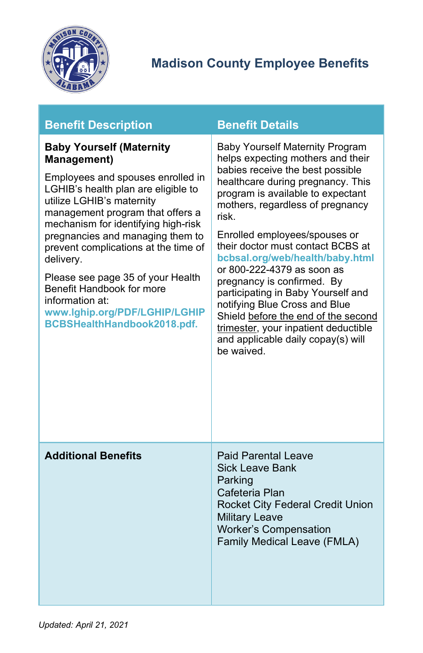

<span id="page-26-1"></span><span id="page-26-0"></span>

| <b>Benefit Description</b>                                                                                                                                                                                                                                                                                                                                                                                                                                                              | <b>Benefit Details</b>                                                                                                                                                                                                                                                                                                                                                                                                                                                                                                                                                                                                |
|-----------------------------------------------------------------------------------------------------------------------------------------------------------------------------------------------------------------------------------------------------------------------------------------------------------------------------------------------------------------------------------------------------------------------------------------------------------------------------------------|-----------------------------------------------------------------------------------------------------------------------------------------------------------------------------------------------------------------------------------------------------------------------------------------------------------------------------------------------------------------------------------------------------------------------------------------------------------------------------------------------------------------------------------------------------------------------------------------------------------------------|
| <b>Baby Yourself (Maternity</b><br><b>Management)</b><br>Employees and spouses enrolled in<br>LGHIB's health plan are eligible to<br>utilize LGHIB's maternity<br>management program that offers a<br>mechanism for identifying high-risk<br>pregnancies and managing them to<br>prevent complications at the time of<br>delivery.<br>Please see page 35 of your Health<br>Benefit Handbook for more<br>information at:<br>www.lghip.org/PDF/LGHIP/LGHIP<br>BCBSHealthHandbook2018.pdf. | <b>Baby Yourself Maternity Program</b><br>helps expecting mothers and their<br>babies receive the best possible<br>healthcare during pregnancy. This<br>program is available to expectant<br>mothers, regardless of pregnancy<br>risk.<br>Enrolled employees/spouses or<br>their doctor must contact BCBS at<br>bcbsal.org/web/health/baby.html<br>or 800-222-4379 as soon as<br>pregnancy is confirmed. By<br>participating in Baby Yourself and<br>notifying Blue Cross and Blue<br>Shield before the end of the second<br>trimester, your inpatient deductible<br>and applicable daily copay(s) will<br>be waived. |
| <b>Additional Benefits</b>                                                                                                                                                                                                                                                                                                                                                                                                                                                              | <b>Paid Parental Leave</b><br><b>Sick Leave Bank</b><br>Parking<br>Cafeteria Plan<br>Rocket City Federal Credit Union<br><b>Military Leave</b><br><b>Worker's Compensation</b><br>Family Medical Leave (FMLA)                                                                                                                                                                                                                                                                                                                                                                                                         |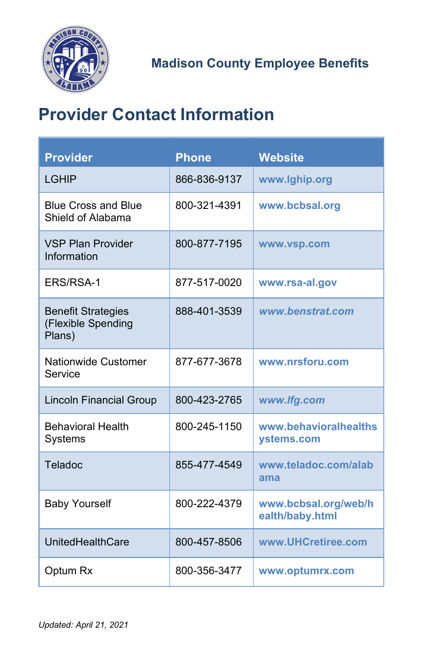

# <span id="page-27-0"></span>**Provider Contact Information**

| <b>Provider</b>                                           | <b>Phone</b> | <b>Website</b>                          |
|-----------------------------------------------------------|--------------|-----------------------------------------|
| LGHIP                                                     | 866-836-9137 | www.lghip.org                           |
| <b>Blue Cross and Blue</b><br>Shield of Alabama           | 800-321-4391 | www.bcbsal.org                          |
| <b>VSP Plan Provider</b><br>Information                   | 800-877-7195 | www.vsp.com                             |
| ERS/RSA-1                                                 | 877-517-0020 | www.rsa-al.gov                          |
| <b>Benefit Strategies</b><br>(Flexible Spending<br>Plans) | 888-401-3539 | www.benstrat.com                        |
| <b>Nationwide Customer</b><br>Service                     | 877-677-3678 | www.nrsforu.com                         |
| <b>Lincoln Financial Group</b>                            | 800-423-2765 | www.lfg.com                             |
| <b>Behavioral Health</b><br>Systems                       | 800-245-1150 | www.behavioralhealths<br>ystems.com     |
| Teladoc                                                   | 855-477-4549 | www.teladoc.com/alab<br>ama             |
| <b>Baby Yourself</b>                                      | 800-222-4379 | www.bcbsal.org/web/h<br>ealth/baby.html |
| UnitedHealthCare                                          | 800-457-8506 | www.UHCretiree.com                      |
| Optum Rx                                                  | 800-356-3477 | www.optumrx.com                         |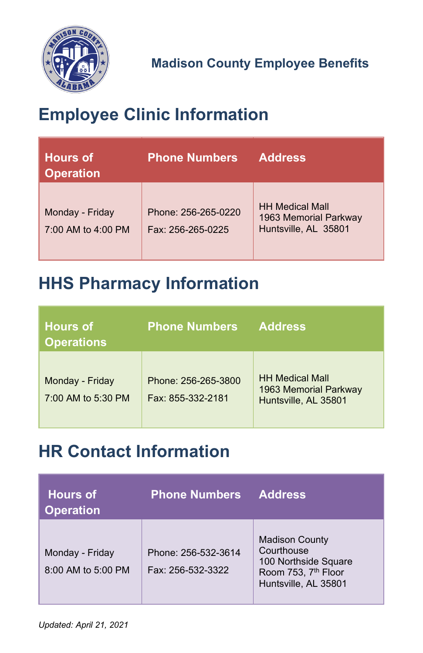

# <span id="page-28-0"></span>**Employee Clinic Information**

| <b>Hours of</b><br><b>Operation</b>   | <b>Phone Numbers</b>                     | <b>Address</b>                                                          |
|---------------------------------------|------------------------------------------|-------------------------------------------------------------------------|
| Monday - Friday<br>7:00 AM to 4:00 PM | Phone: 256-265-0220<br>Fax: 256-265-0225 | <b>HH Medical Mall</b><br>1963 Memorial Parkway<br>Huntsville, AL 35801 |

# <span id="page-28-1"></span>**HHS Pharmacy Information**

| <b>Hours of</b><br><b>Operations</b>  | <b>Phone Numbers</b>                     | <b>Address</b>                                                          |
|---------------------------------------|------------------------------------------|-------------------------------------------------------------------------|
| Monday - Friday<br>7:00 AM to 5:30 PM | Phone: 256-265-3800<br>Fax: 855-332-2181 | <b>HH Medical Mall</b><br>1963 Memorial Parkway<br>Huntsville, AL 35801 |

# <span id="page-28-2"></span>**HR Contact Information**

| <b>Hours of</b><br><b>Operation</b>   | <b>Phone Numbers</b>                     | <b>Address</b>                                                                                                         |
|---------------------------------------|------------------------------------------|------------------------------------------------------------------------------------------------------------------------|
| Monday - Friday<br>8:00 AM to 5:00 PM | Phone: 256-532-3614<br>Fax: 256-532-3322 | <b>Madison County</b><br>Courthouse<br>100 Northside Square<br>Room 753, 7 <sup>th</sup> Floor<br>Huntsville, AL 35801 |